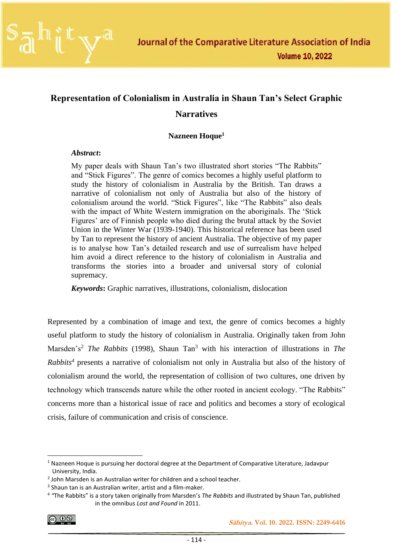

## **Representation of Colonialism in Australia in Shaun Tan's Select Graphic Narratives**

#### **Nazneen Hoque<sup>1</sup>**

#### *Abstract***:**

My paper deals with Shaun Tan's two illustrated short stories "The Rabbits" and "Stick Figures". The genre of comics becomes a highly useful platform to study the history of colonialism in Australia by the British. Tan draws a narrative of colonialism not only of Australia but also of the history of colonialism around the world. "Stick Figures", like "The Rabbits" also deals with the impact of White Western immigration on the aboriginals. The 'Stick Figures' are of Finnish people who died during the brutal attack by the Soviet Union in the Winter War (1939-1940). This historical reference has been used by Tan to represent the history of ancient Australia. The objective of my paper is to analyse how Tan's detailed research and use of surrealism have helped him avoid a direct reference to the history of colonialism in Australia and transforms the stories into a broader and universal story of colonial supremacy.

*Keywords***:** Graphic narratives, illustrations, colonialism, dislocation

Represented by a combination of image and text, the genre of comics becomes a highly useful platform to study the history of colonialism in Australia. Originally taken from John Marsden's<sup>2</sup> *The Rabbits* (1998), Shaun Tan<sup>3</sup> with his interaction of illustrations in *The Rabbits<sup>4</sup>* presents a narrative of colonialism not only in Australia but also of the history of colonialism around the world, the representation of collision of two cultures, one driven by technology which transcends nature while the other rooted in ancient ecology. "The Rabbits" concerns more than a historical issue of race and politics and becomes a story of ecological crisis, failure of communication and crisis of conscience.

$$
\bigcirc \hspace{-7.75pt} \bigcirc \hspace{-7.75pt} \bigcirc \hspace{-7.75pt} \bigcirc \hspace{-7.75pt} \bigcirc \hspace{-7.75pt} \bigcirc \hspace{-7.75pt} \bigcirc \hspace{-7.75pt} \bigcirc \hspace{-7.75pt} \bigcirc \hspace{-7.75pt} \bigcirc \hspace{-7.75pt} \bigcirc \hspace{-7.75pt} \bigcirc \hspace{-7.75pt} \bigcirc \hspace{-7.75pt} \bigcirc \hspace{-7.75pt} \bigcirc \hspace{-7.75pt} \bigcirc \hspace{-7.75pt} \bigcirc \hspace{-7.75pt} \bigcirc \hspace{-7.75pt} \bigcirc \hspace{-7.75pt} \bigcirc \hspace{-7.75pt} \bigcirc \hspace{-7.75pt} \bigcirc \hspace{-7.75pt} \bigcirc \hspace{-7.75pt} \bigcirc \hspace{-7.75pt} \bigcirc \hspace{-7.75pt} \bigcirc \hspace{-7.75pt} \bigcirc \hspace{-7.75pt} \bigcirc \hspace{-7.75pt} \bigcirc \hspace{-7.75pt} \bigcirc \hspace{-7.75pt} \bigcirc \hspace{-7.75pt} \bigcirc \hspace{-7.75pt} \bigcirc \hspace{-7.75pt} \bigcirc \hspace{-7.75pt} \bigcirc \hspace{-7.75pt} \bigcirc \hspace{-7.75pt} \bigcirc \hspace{-7.75pt} \bigcirc \hspace{-7.75pt} \bigcirc \hspace{-7.75pt} \bigcirc \hspace{-7.75pt} \bigcirc \hspace{-7.75pt} \bigcirc \hspace{-7.75pt} \bigcirc \hspace{-7.75pt} \bigcirc \hspace{-7.75pt} \bigcirc \hspace{-7.75pt} \bigcirc \hspace{-7.75pt} \bigcirc \hspace{-7.75pt} \bigcirc \hspace{-7.75pt} \bigcirc \hspace{-7.75pt} \bigcirc \hspace{-7.75pt} \bigcirc \hspace{-7.75pt} \bigcirc \hspace{-7.75pt} \bigcirc \hspace{-7.75pt} \bigcirc \hspace{-7.75pt} \bigcirc \hspace{-7.75pt} \bigcirc \hspace{-7.75pt} \bigcirc \hspace{-7.75pt} \bigcirc \hspace{-7.75pt} \bigcirc \hspace
$$

 $1$  Nazneen Hoque is pursuing her doctoral degree at the Department of Comparative Literature, Jadavpur University, India.

<sup>&</sup>lt;sup>2</sup> John Marsden is an Australian writer for children and a school teacher.

<sup>&</sup>lt;sup>3</sup> Shaun tan is an Australian writer, artist and a film-maker.

<sup>4</sup> *"*The Rabbits" is a story taken originally from Marsden's *The Rabbits* and illustrated by Shaun Tan, published in the omnibus *Lost and Found* in 2011.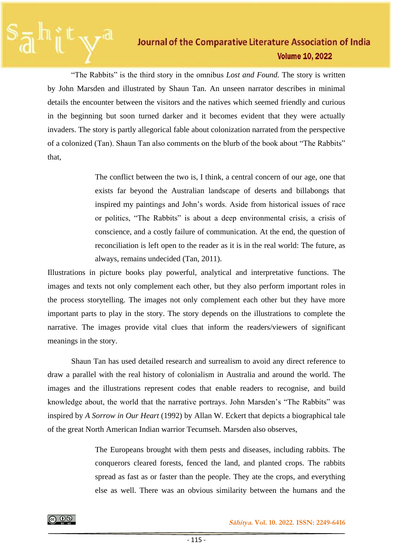"The Rabbits" is the third story in the omnibus *Lost and Found.* The story is written by John Marsden and illustrated by Shaun Tan. An unseen narrator describes in minimal details the encounter between the visitors and the natives which seemed friendly and curious in the beginning but soon turned darker and it becomes evident that they were actually invaders. The story is partly allegorical fable about colonization narrated from the perspective of a colonized (Tan). Shaun Tan also comments on the blurb of the book about "The Rabbits" that,

> The conflict between the two is, I think, a central concern of our age, one that exists far beyond the Australian landscape of deserts and billabongs that inspired my paintings and John's words. Aside from historical issues of race or politics, "The Rabbits" is about a deep environmental crisis, a crisis of conscience, and a costly failure of communication. At the end, the question of reconciliation is left open to the reader as it is in the real world: The future, as always, remains undecided (Tan, 2011).

Illustrations in picture books play powerful, analytical and interpretative functions. The images and texts not only complement each other, but they also perform important roles in the process storytelling. The images not only complement each other but they have more important parts to play in the story. The story depends on the illustrations to complete the narrative. The images provide vital clues that inform the readers/viewers of significant meanings in the story.

Shaun Tan has used detailed research and surrealism to avoid any direct reference to draw a parallel with the real history of colonialism in Australia and around the world. The images and the illustrations represent codes that enable readers to recognise, and build knowledge about, the world that the narrative portrays. John Marsden's "The Rabbits" was inspired by *A Sorrow in Our Heart* (1992) by Allan W. Eckert that depicts a biographical tale of the great North American Indian warrior Tecumseh. Marsden also observes,

> The Europeans brought with them pests and diseases, including rabbits. The conquerors cleared forests, fenced the land, and planted crops. The rabbits spread as fast as or faster than the people. They ate the crops, and everything else as well. There was an obvious similarity between the humans and the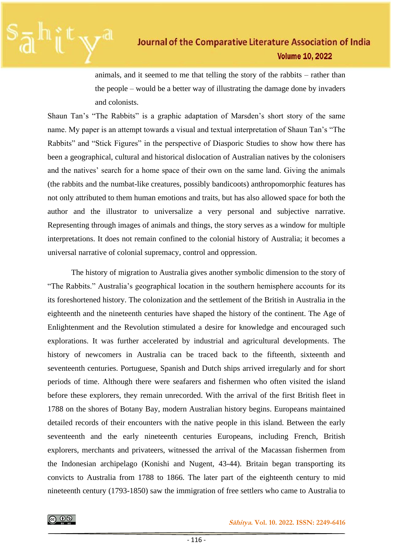animals, and it seemed to me that telling the story of the rabbits – rather than the people – would be a better way of illustrating the damage done by invaders and colonists.

Shaun Tan's "The Rabbits" is a graphic adaptation of Marsden's short story of the same name. My paper is an attempt towards a visual and textual interpretation of Shaun Tan's "The Rabbits" and "Stick Figures" in the perspective of Diasporic Studies to show how there has been a geographical, cultural and historical dislocation of Australian natives by the colonisers and the natives' search for a home space of their own on the same land. Giving the animals (the rabbits and the numbat-like creatures, possibly bandicoots) anthropomorphic features has not only attributed to them human emotions and traits, but has also allowed space for both the author and the illustrator to universalize a very personal and subjective narrative. Representing through images of animals and things, the story serves as a window for multiple interpretations. It does not remain confined to the colonial history of Australia; it becomes a universal narrative of colonial supremacy, control and oppression.

The history of migration to Australia gives another symbolic dimension to the story of "The Rabbits." Australia's geographical location in the southern hemisphere accounts for its its foreshortened history. The colonization and the settlement of the British in Australia in the eighteenth and the nineteenth centuries have shaped the history of the continent. The Age of Enlightenment and the Revolution stimulated a desire for knowledge and encouraged such explorations. It was further accelerated by industrial and agricultural developments. The history of newcomers in Australia can be traced back to the fifteenth, sixteenth and seventeenth centuries. Portuguese, Spanish and Dutch ships arrived irregularly and for short periods of time. Although there were seafarers and fishermen who often visited the island before these explorers, they remain unrecorded. With the arrival of the first British fleet in 1788 on the shores of Botany Bay, modern Australian history begins. Europeans maintained detailed records of their encounters with the native people in this island. Between the early seventeenth and the early nineteenth centuries Europeans, including French, British explorers, merchants and privateers, witnessed the arrival of the Macassan fishermen from the Indonesian archipelago (Konishi and Nugent, 43-44). Britain began transporting its convicts to Australia from 1788 to 1866. The later part of the eighteenth century to mid nineteenth century (1793-1850) saw the immigration of free settlers who came to Australia to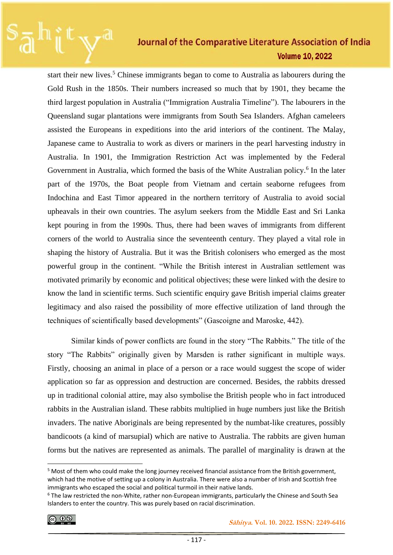start their new lives.<sup>5</sup> Chinese immigrants began to come to Australia as labourers during the Gold Rush in the 1850s. Their numbers increased so much that by 1901, they became the third largest population in Australia ("Immigration Australia Timeline"). The labourers in the Queensland sugar plantations were immigrants from South Sea Islanders. Afghan cameleers assisted the Europeans in expeditions into the arid interiors of the continent. The Malay, Japanese came to Australia to work as divers or mariners in the pearl harvesting industry in Australia. In 1901, the Immigration Restriction Act was implemented by the Federal Government in Australia, which formed the basis of the White Australian policy.<sup>6</sup> In the later part of the 1970s, the Boat people from Vietnam and certain seaborne refugees from Indochina and East Timor appeared in the northern territory of Australia to avoid social upheavals in their own countries. The asylum seekers from the Middle East and Sri Lanka kept pouring in from the 1990s. Thus, there had been waves of immigrants from different corners of the world to Australia since the seventeenth century. They played a vital role in shaping the history of Australia. But it was the British colonisers who emerged as the most powerful group in the continent. "While the British interest in Australian settlement was motivated primarily by economic and political objectives; these were linked with the desire to know the land in scientific terms. Such scientific enquiry gave British imperial claims greater legitimacy and also raised the possibility of more effective utilization of land through the techniques of scientifically based developments" (Gascoigne and Maroske, 442).

Similar kinds of power conflicts are found in the story "The Rabbits." The title of the story "The Rabbits" originally given by Marsden is rather significant in multiple ways. Firstly, choosing an animal in place of a person or a race would suggest the scope of wider application so far as oppression and destruction are concerned. Besides, the rabbits dressed up in traditional colonial attire, may also symbolise the British people who in fact introduced rabbits in the Australian island. These rabbits multiplied in huge numbers just like the British invaders. The native Aboriginals are being represented by the numbat-like creatures, possibly bandicoots (a kind of marsupial) which are native to Australia. The rabbits are given human forms but the natives are represented as animals. The parallel of marginality is drawn at the

$$
\textcircled{\tiny{0}}
$$

<sup>&</sup>lt;sup>5</sup> Most of them who could make the long journey received financial assistance from the British government, which had the motive of setting up a colony in Australia. There were also a number of Irish and Scottish free immigrants who escaped the social and political turmoil in their native lands.

<sup>6</sup> The law restricted the non-White, rather non-European immigrants, particularly the Chinese and South Sea Islanders to enter the country. This was purely based on racial discrimination.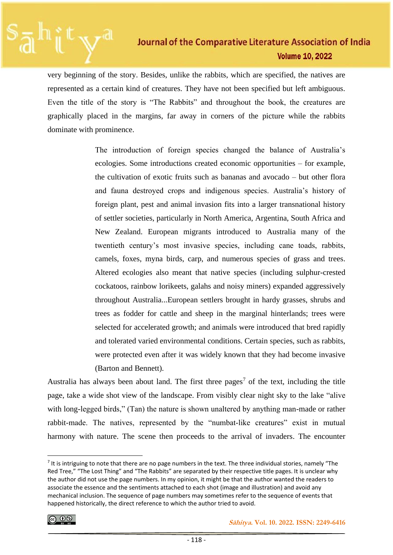very beginning of the story. Besides, unlike the rabbits, which are specified, the natives are represented as a certain kind of creatures. They have not been specified but left ambiguous. Even the title of the story is "The Rabbits" and throughout the book, the creatures are graphically placed in the margins, far away in corners of the picture while the rabbits dominate with prominence.

> The introduction of foreign species changed the balance of Australia's ecologies. Some introductions created economic opportunities – for example, the cultivation of exotic fruits such as bananas and avocado – but other flora and fauna destroyed crops and indigenous species. Australia's history of foreign plant, pest and animal invasion fits into a larger transnational history of settler societies, particularly in North America, Argentina, South Africa and New Zealand. European migrants introduced to Australia many of the twentieth century's most invasive species, including cane toads, rabbits, camels, foxes, myna birds, carp, and numerous species of grass and trees. Altered ecologies also meant that native species (including sulphur-crested cockatoos, rainbow lorikeets, galahs and noisy miners) expanded aggressively throughout Australia...European settlers brought in hardy grasses, shrubs and trees as fodder for cattle and sheep in the marginal hinterlands; trees were selected for accelerated growth; and animals were introduced that bred rapidly and tolerated varied environmental conditions. Certain species, such as rabbits, were protected even after it was widely known that they had become invasive (Barton and Bennett).

Australia has always been about land. The first three pages<sup>7</sup> of the text, including the title page, take a wide shot view of the landscape. From visibly clear night sky to the lake "alive with long-legged birds," (Tan) the nature is shown unaltered by anything man-made or rather rabbit-made. The natives, represented by the "numbat-like creatures" exist in mutual harmony with nature. The scene then proceeds to the arrival of invaders. The encounter

 $<sup>7</sup>$  It is intriguing to note that there are no page numbers in the text. The three individual stories, namely "The</sup> Red Tree," "The Lost Thing" and "The Rabbits" are separated by their respective title pages. It is unclear why the author did not use the page numbers. In my opinion, it might be that the author wanted the readers to associate the essence and the sentiments attached to each shot (image and illustration) and avoid any mechanical inclusion. The sequence of page numbers may sometimes refer to the sequence of events that happened historically, the direct reference to which the author tried to avoid.

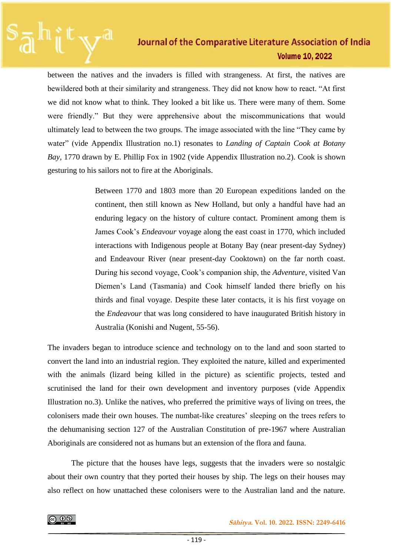between the natives and the invaders is filled with strangeness. At first, the natives are bewildered both at their similarity and strangeness. They did not know how to react. "At first we did not know what to think. They looked a bit like us. There were many of them. Some were friendly." But they were apprehensive about the miscommunications that would ultimately lead to between the two groups. The image associated with the line "They came by water" (vide Appendix Illustration no.1) resonates to *Landing of Captain Cook at Botany Bay*, 1770 drawn by E. Phillip Fox in 1902 (vide Appendix Illustration no.2). Cook is shown gesturing to his sailors not to fire at the Aboriginals.

> Between 1770 and 1803 more than 20 European expeditions landed on the continent, then still known as New Holland, but only a handful have had an enduring legacy on the history of culture contact. Prominent among them is James Cook's *Endeavour* voyage along the east coast in 1770, which included interactions with Indigenous people at Botany Bay (near present-day Sydney) and Endeavour River (near present-day Cooktown) on the far north coast. During his second voyage, Cook's companion ship, the *Adventure*, visited Van Diemen's Land (Tasmania) and Cook himself landed there briefly on his thirds and final voyage. Despite these later contacts, it is his first voyage on the *Endeavour* that was long considered to have inaugurated British history in Australia (Konishi and Nugent, 55-56).

The invaders began to introduce science and technology on to the land and soon started to convert the land into an industrial region. They exploited the nature, killed and experimented with the animals (lizard being killed in the picture) as scientific projects, tested and scrutinised the land for their own development and inventory purposes (vide Appendix Illustration no.3). Unlike the natives, who preferred the primitive ways of living on trees, the colonisers made their own houses. The numbat-like creatures' sleeping on the trees refers to the dehumanising section 127 of the Australian Constitution of pre-1967 where Australian Aboriginals are considered not as humans but an extension of the flora and fauna.

The picture that the houses have legs, suggests that the invaders were so nostalgic about their own country that they ported their houses by ship. The legs on their houses may also reflect on how unattached these colonisers were to the Australian land and the nature.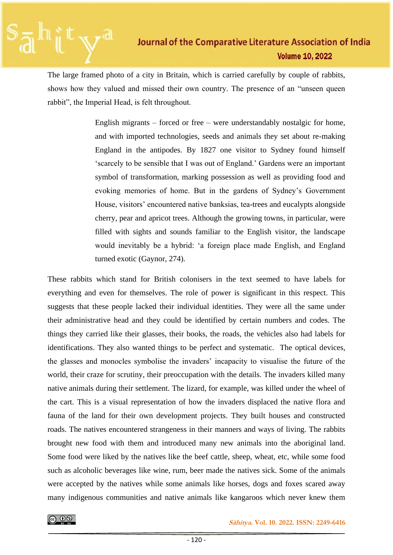The large framed photo of a city in Britain, which is carried carefully by couple of rabbits, shows how they valued and missed their own country. The presence of an "unseen queen rabbit", the Imperial Head, is felt throughout.

> English migrants – forced or free – were understandably nostalgic for home, and with imported technologies, seeds and animals they set about re-making England in the antipodes. By 1827 one visitor to Sydney found himself 'scarcely to be sensible that I was out of England.' Gardens were an important symbol of transformation, marking possession as well as providing food and evoking memories of home. But in the gardens of Sydney's Government House, visitors' encountered native banksias, tea-trees and eucalypts alongside cherry, pear and apricot trees. Although the growing towns, in particular, were filled with sights and sounds familiar to the English visitor, the landscape would inevitably be a hybrid: 'a foreign place made English, and England turned exotic (Gaynor, 274).

These rabbits which stand for British colonisers in the text seemed to have labels for everything and even for themselves. The role of power is significant in this respect. This suggests that these people lacked their individual identities. They were all the same under their administrative head and they could be identified by certain numbers and codes. The things they carried like their glasses, their books, the roads, the vehicles also had labels for identifications. They also wanted things to be perfect and systematic. The optical devices, the glasses and monocles symbolise the invaders' incapacity to visualise the future of the world, their craze for scrutiny, their preoccupation with the details. The invaders killed many native animals during their settlement. The lizard, for example, was killed under the wheel of the cart. This is a visual representation of how the invaders displaced the native flora and fauna of the land for their own development projects. They built houses and constructed roads. The natives encountered strangeness in their manners and ways of living. The rabbits brought new food with them and introduced many new animals into the aboriginal land. Some food were liked by the natives like the beef cattle, sheep, wheat, etc, while some food such as alcoholic beverages like wine, rum, beer made the natives sick. Some of the animals were accepted by the natives while some animals like horses, dogs and foxes scared away many indigenous communities and native animals like kangaroos which never knew them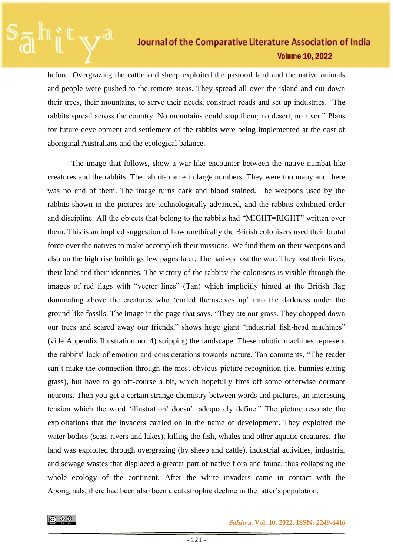before. Overgrazing the cattle and sheep exploited the pastoral land and the native animals and people were pushed to the remote areas. They spread all over the island and cut down their trees, their mountains, to serve their needs, construct roads and set up industries. "The rabbits spread across the country. No mountains could stop them; no desert, no river." Plans for future development and settlement of the rabbits were being implemented at the cost of aboriginal Australians and the ecological balance.

The image that follows, show a war-like encounter between the native numbat-like creatures and the rabbits. The rabbits came in large numbers. They were too many and there was no end of them. The image turns dark and blood stained. The weapons used by the rabbits shown in the pictures are technologically advanced, and the rabbits exhibited order and discipline. All the objects that belong to the rabbits had "MIGHT=RIGHT" written over them. This is an implied suggestion of how unethically the British colonisers used their brutal force over the natives to make accomplish their missions. We find them on their weapons and also on the high rise buildings few pages later. The natives lost the war. They lost their lives, their land and their identities. The victory of the rabbits/ the colonisers is visible through the images of red flags with "vector lines" (Tan) which implicitly hinted at the British flag dominating above the creatures who 'curled themselves up' into the darkness under the ground like fossils. The image in the page that says, "They ate our grass. They chopped down our trees and scared away our friends," shows huge giant "industrial fish-head machines" (vide Appendix Illustration no. 4) stripping the landscape. These robotic machines represent the rabbits' lack of emotion and considerations towards nature. Tan comments, "The reader can't make the connection through the most obvious picture recognition (i.e. bunnies eating grass), but have to go off-course a bit, which hopefully fires off some otherwise dormant neurons. Then you get a certain strange chemistry between words and pictures, an interesting tension which the word 'illustration' doesn't adequately define." The picture resonate the exploitations that the invaders carried on in the name of development. They exploited the water bodies (seas, rivers and lakes), killing the fish, whales and other aquatic creatures. The land was exploited through overgrazing (by sheep and cattle), industrial activities, industrial and sewage wastes that displaced a greater part of native flora and fauna, thus collapsing the whole ecology of the continent. After the white invaders came in contact with the Aboriginals, there had been also been a catastrophic decline in the latter's population.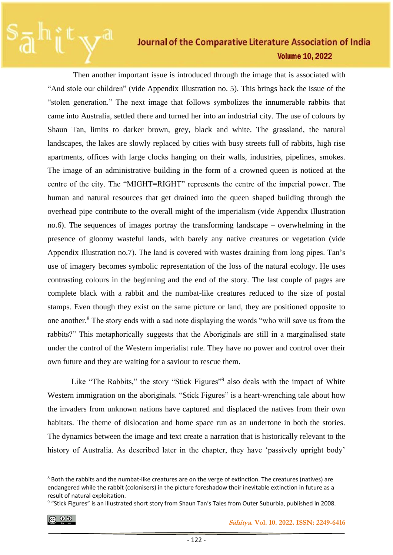Then another important issue is introduced through the image that is associated with "And stole our children" (vide Appendix Illustration no. 5). This brings back the issue of the "stolen generation." The next image that follows symbolizes the innumerable rabbits that came into Australia, settled there and turned her into an industrial city. The use of colours by Shaun Tan, limits to darker brown, grey, black and white. The grassland, the natural landscapes, the lakes are slowly replaced by cities with busy streets full of rabbits, high rise apartments, offices with large clocks hanging on their walls, industries, pipelines, smokes. The image of an administrative building in the form of a crowned queen is noticed at the centre of the city. The "MIGHT=RIGHT" represents the centre of the imperial power. The human and natural resources that get drained into the queen shaped building through the overhead pipe contribute to the overall might of the imperialism (vide Appendix Illustration no.6). The sequences of images portray the transforming landscape – overwhelming in the presence of gloomy wasteful lands, with barely any native creatures or vegetation (vide Appendix Illustration no.7). The land is covered with wastes draining from long pipes. Tan's use of imagery becomes symbolic representation of the loss of the natural ecology. He uses contrasting colours in the beginning and the end of the story. The last couple of pages are complete black with a rabbit and the numbat-like creatures reduced to the size of postal stamps. Even though they exist on the same picture or land, they are positioned opposite to one another.<sup>8</sup> The story ends with a sad note displaying the words "who will save us from the rabbits?" This metaphorically suggests that the Aboriginals are still in a marginalised state under the control of the Western imperialist rule. They have no power and control over their own future and they are waiting for a saviour to rescue them.

Like "The Rabbits," the story "Stick Figures"<sup>9</sup> also deals with the impact of White Western immigration on the aboriginals. "Stick Figures" is a heart-wrenching tale about how the invaders from unknown nations have captured and displaced the natives from their own habitats. The theme of dislocation and home space run as an undertone in both the stories. The dynamics between the image and text create a narration that is historically relevant to the history of Australia. As described later in the chapter, they have 'passively upright body'

$$
\textcircled{\tiny{+}}
$$

<sup>&</sup>lt;sup>8</sup> Both the rabbits and the numbat-like creatures are on the verge of extinction. The creatures (natives) are endangered while the rabbit (colonisers) in the picture foreshadow their inevitable extinction in future as a result of natural exploitation.

<sup>&</sup>lt;sup>9</sup> "Stick Figures" is an illustrated short story from Shaun Tan's Tales from Outer Suburbia, published in 2008.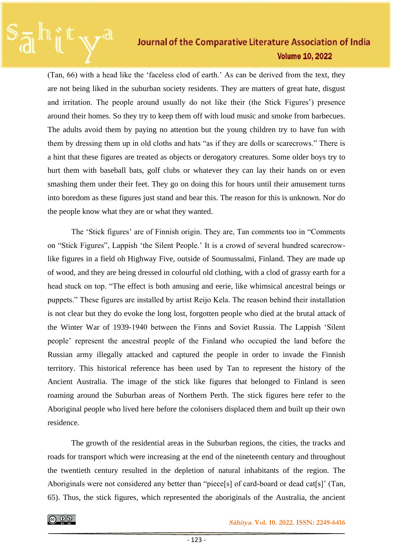(Tan, 66) with a head like the 'faceless clod of earth.' As can be derived from the text, they are not being liked in the suburban society residents. They are matters of great hate, disgust and irritation. The people around usually do not like their (the Stick Figures') presence around their homes. So they try to keep them off with loud music and smoke from barbecues. The adults avoid them by paying no attention but the young children try to have fun with them by dressing them up in old cloths and hats "as if they are dolls or scarecrows." There is a hint that these figures are treated as objects or derogatory creatures. Some older boys try to hurt them with baseball bats, golf clubs or whatever they can lay their hands on or even smashing them under their feet. They go on doing this for hours until their amusement turns into boredom as these figures just stand and bear this. The reason for this is unknown. Nor do the people know what they are or what they wanted.

The 'Stick figures' are of Finnish origin. They are, Tan comments too in "Comments on "Stick Figures", Lappish 'the Silent People.' It is a crowd of several hundred scarecrowlike figures in a field oh Highway Five, outside of Soumussalmi, Finland. They are made up of wood, and they are being dressed in colourful old clothing, with a clod of grassy earth for a head stuck on top. "The effect is both amusing and eerie, like whimsical ancestral beings or puppets." These figures are installed by artist Reijo Kela. The reason behind their installation is not clear but they do evoke the long lost, forgotten people who died at the brutal attack of the Winter War of 1939-1940 between the Finns and Soviet Russia. The Lappish 'Silent people' represent the ancestral people of the Finland who occupied the land before the Russian army illegally attacked and captured the people in order to invade the Finnish territory. This historical reference has been used by Tan to represent the history of the Ancient Australia. The image of the stick like figures that belonged to Finland is seen roaming around the Suburban areas of Northern Perth. The stick figures here refer to the Aboriginal people who lived here before the colonisers displaced them and built up their own residence.

The growth of the residential areas in the Suburban regions, the cities, the tracks and roads for transport which were increasing at the end of the nineteenth century and throughout the twentieth century resulted in the depletion of natural inhabitants of the region. The Aboriginals were not considered any better than "piece[s] of card-board or dead cat[s]' (Tan, 65). Thus, the stick figures, which represented the aboriginals of the Australia, the ancient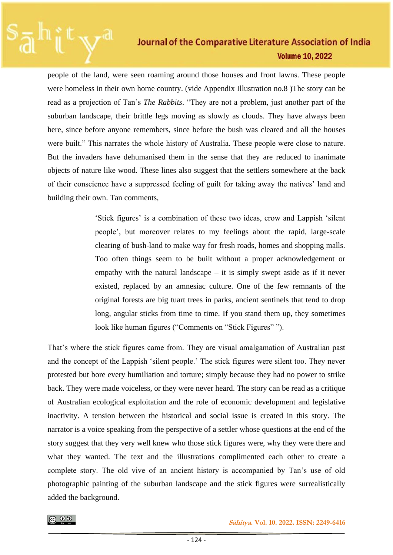people of the land, were seen roaming around those houses and front lawns. These people were homeless in their own home country. (vide Appendix Illustration no.8 )The story can be read as a projection of Tan's *The Rabbits*. "They are not a problem, just another part of the suburban landscape, their brittle legs moving as slowly as clouds. They have always been here, since before anyone remembers, since before the bush was cleared and all the houses were built." This narrates the whole history of Australia. These people were close to nature. But the invaders have dehumanised them in the sense that they are reduced to inanimate objects of nature like wood. These lines also suggest that the settlers somewhere at the back of their conscience have a suppressed feeling of guilt for taking away the natives' land and building their own. Tan comments,

> 'Stick figures' is a combination of these two ideas, crow and Lappish 'silent people', but moreover relates to my feelings about the rapid, large-scale clearing of bush-land to make way for fresh roads, homes and shopping malls. Too often things seem to be built without a proper acknowledgement or empathy with the natural landscape  $-$  it is simply swept aside as if it never existed, replaced by an amnesiac culture. One of the few remnants of the original forests are big tuart trees in parks, ancient sentinels that tend to drop long, angular sticks from time to time. If you stand them up, they sometimes look like human figures ("Comments on "Stick Figures" ").

That's where the stick figures came from. They are visual amalgamation of Australian past and the concept of the Lappish 'silent people.' The stick figures were silent too. They never protested but bore every humiliation and torture; simply because they had no power to strike back. They were made voiceless, or they were never heard. The story can be read as a critique of Australian ecological exploitation and the role of economic development and legislative inactivity. A tension between the historical and social issue is created in this story. The narrator is a voice speaking from the perspective of a settler whose questions at the end of the story suggest that they very well knew who those stick figures were, why they were there and what they wanted. The text and the illustrations complimented each other to create a complete story. The old vive of an ancient history is accompanied by Tan's use of old photographic painting of the suburban landscape and the stick figures were surrealistically added the background.

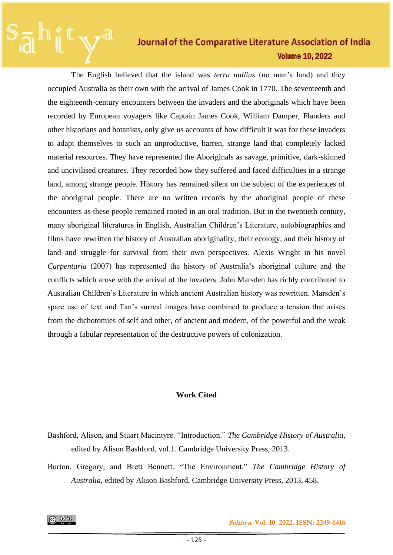The English believed that the island was *terra nullius* (no man's land) and they occupied Australia as their own with the arrival of James Cook in 1770. The seventeenth and the eighteenth-century encounters between the invaders and the aboriginals which have been recorded by European voyagers like Captain James Cook, William Damper, Flanders and other historians and botanists, only give us accounts of how difficult it was for these invaders to adapt themselves to such an unproductive, barren, strange land that completely lacked material resources. They have represented the Aboriginals as savage, primitive, dark-skinned and uncivilised creatures. They recorded how they suffered and faced difficulties in a strange land, among strange people. History has remained silent on the subject of the experiences of the aboriginal people. There are no written records by the aboriginal people of these encounters as these people remained rooted in an oral tradition. But in the twentieth century, many aboriginal literatures in English, Australian Children's Literature, autobiographies and films have rewritten the history of Australian aboriginality, their ecology, and their history of land and struggle for survival from their own perspectives. Alexis Wright in his novel *Carpentaria* (2007) has represented the history of Australia's aboriginal culture and the conflicts which arose with the arrival of the invaders. John Marsden has richly contributed to Australian Children's Literature in which ancient Australian history was rewritten. Marsden's spare use of text and Tan's surreal images have combined to produce a tension that arises from the dichotomies of self and other, of ancient and modern, of the powerful and the weak through a fabular representation of the destructive powers of colonization.

#### **Work Cited**

Bashford, Alison, and Stuart Macintyre. "Introduction." *The Cambridge History of Australia*, edited by Alison Bashford, vol.1. Cambridge University Press, 2013.

Burton, Gregory, and Brett Bennett. "The Environment." *The Cambridge History of Australia*, edited by Alison Bashford, Cambridge University Press, 2013, 458.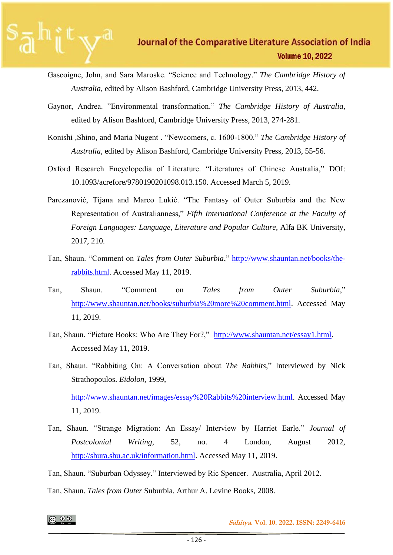- Gascoigne, John, and Sara Maroske. "Science and Technology." *The Cambridge History of Australia,* edited by Alison Bashford, Cambridge University Press, 2013, 442.
- Gaynor, Andrea. "Environmental transformation." *The Cambridge History of Australia*, edited by Alison Bashford, Cambridge University Press, 2013, 274-281.
- Konishi ,Shino, and Maria Nugent . "Newcomers, c. 1600-1800." *The Cambridge History of Australia*, edited by Alison Bashford, Cambridge University Press, 2013, 55-56.
- Oxford Research Encyclopedia of Literature. "Literatures of Chinese Australia," DOI: 10.1093/acrefore/9780190201098.013.150. Accessed March 5, 2019.
- Parezanović, Tijana and Marco Lukić. "The Fantasy of Outer Suburbia and the New Representation of Australianness," *Fifth International Conference at the Faculty of Foreign Languages: Language, Literature and Popular Culture*, Alfa BK University, 2017, 210.
- Tan, Shaun. "Comment on *Tales from Outer Suburbia*," [http://www.shauntan.net/books/the](http://www.shauntan.net/books/the-rabbits.html)[rabbits.html.](http://www.shauntan.net/books/the-rabbits.html) Accessed May 11, 2019.
- Tan, Shaun. "Comment on *Tales from Outer Suburbia*," [http://www.shauntan.net/books/suburbia%20more%20comment.html.](http://www.shauntan.net/books/suburbia%20more%20comment.html) Accessed May 11, 2019.
- Tan, Shaun. "Picture Books: Who Are They For?," [http://www.shauntan.net/essay1.html.](http://www.shauntan.net/essay1.html) Accessed May 11, 2019.
- Tan, Shaun. "Rabbiting On: A Conversation about *The Rabbits*," Interviewed by Nick Strathopoulos. *Eidolon*, 1999,

[http://www.shauntan.net/images/essay%20Rabbits%20interview.html.](http://www.shauntan.net/images/essay%20Rabbits%20interview.html) Accessed May 11, 2019.

Tan, Shaun. "Strange Migration: An Essay/ Interview by Harriet Earle." *Journal of Postcolonial Writing,* 52, no. 4 London, August 2012, [http://shura.shu.ac.uk/information.html.](http://shura.shu.ac.uk/information.html) Accessed May 11, 2019.

Tan, Shaun. "Suburban Odyssey." Interviewed by Ric Spencer. Australia, April 2012.

Tan, Shaun. *Tales from Outer* Suburbia. Arthur A. Levine Books, 2008.

ெ 0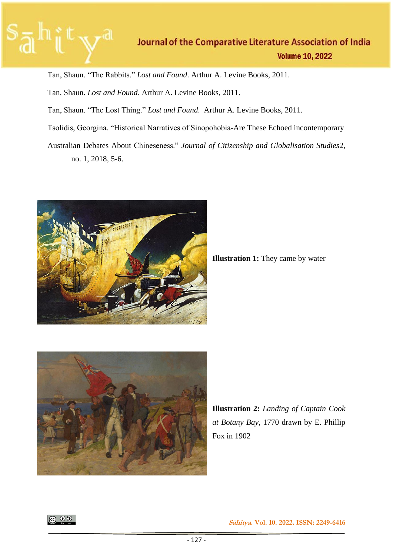

Tan, Shaun. "The Rabbits." *Lost and Found*. Arthur A. Levine Books, 2011.

Tan, Shaun. *Lost and Found*. Arthur A. Levine Books, 2011.

Tan, Shaun. "The Lost Thing." *Lost and Found*. Arthur A. Levine Books, 2011.

Tsolidis, Georgina. "Historical Narratives of Sinopohobia-Are These Echoed incontemporary

Australian Debates About Chineseness." *Journal of Citizenship and Globalisation Studies*2, no. 1, 2018, 5-6.



**Illustration 1:** They came by water



**Illustration 2:** *Landing of Captain Cook at Botany Bay*, 1770 drawn by E. Phillip Fox in 1902

|ெ 0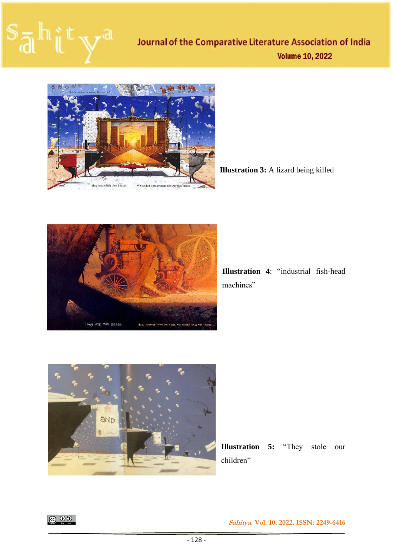# $S_{\overline{A}}$



**Illustration 3:** A lizard being killed



**Illustration 4**: "industrial fish-head machines"



**Illustration 5:** "They stole our children"